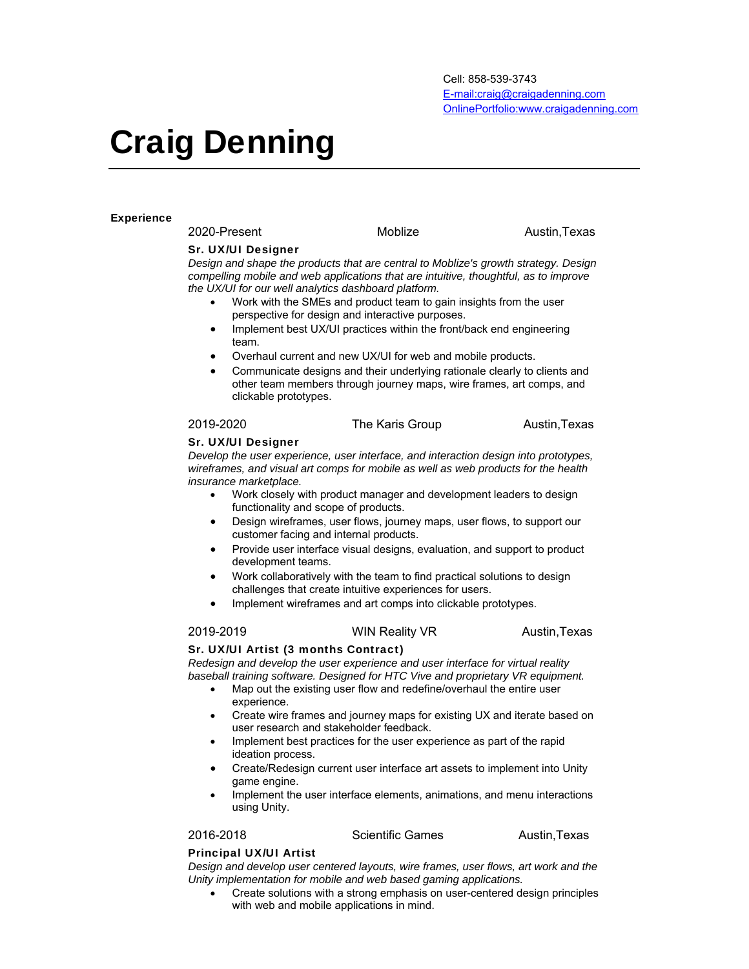# Craig Denning

### **Experience**

2020-Present Moblize Moblize Austin,Texas

### Sr. UX/UI Designer

*Design and shape the products that are central to Moblize's growth strategy. Design compelling mobile and web applications that are intuitive, thoughtful, as to improve the UX/UI for our well analytics dashboard platform.* 

- Work with the SMEs and product team to gain insights from the user perspective for design and interactive purposes.
- Implement best UX/UI practices within the front/back end engineering team.
- Overhaul current and new UX/UI for web and mobile products.
- Communicate designs and their underlying rationale clearly to clients and other team members through journey maps, wire frames, art comps, and clickable prototypes.

2019-2020 The Karis Group Austin, Texas

### Sr. UX/UI Designer

*Develop the user experience, user interface, and interaction design into prototypes, wireframes, and visual art comps for mobile as well as web products for the health insurance marketplace.* 

- Work closely with product manager and development leaders to design functionality and scope of products.
- Design wireframes, user flows, journey maps, user flows, to support our customer facing and internal products.
- Provide user interface visual designs, evaluation, and support to product development teams.
- Work collaboratively with the team to find practical solutions to design challenges that create intuitive experiences for users.
- Implement wireframes and art comps into clickable prototypes.

### 2019-2019 WIN Reality VR Austin, Texas

### Sr. UX/UI Artist (3 months Contract)

*Redesign and develop the user experience and user interface for virtual reality baseball training software. Designed for HTC Vive and proprietary VR equipment.* 

- Map out the existing user flow and redefine/overhaul the entire user experience.
- Create wire frames and journey maps for existing UX and iterate based on user research and stakeholder feedback.
- Implement best practices for the user experience as part of the rapid ideation process.
- Create/Redesign current user interface art assets to implement into Unity game engine.
- Implement the user interface elements, animations, and menu interactions using Unity.

2016-2018 Scientific Games Austin,Texas

### Principal UX/UI Artist

*Design and develop user centered layouts, wire frames, user flows, art work and the Unity implementation for mobile and web based gaming applications.* 

 Create solutions with a strong emphasis on user-centered design principles with web and mobile applications in mind.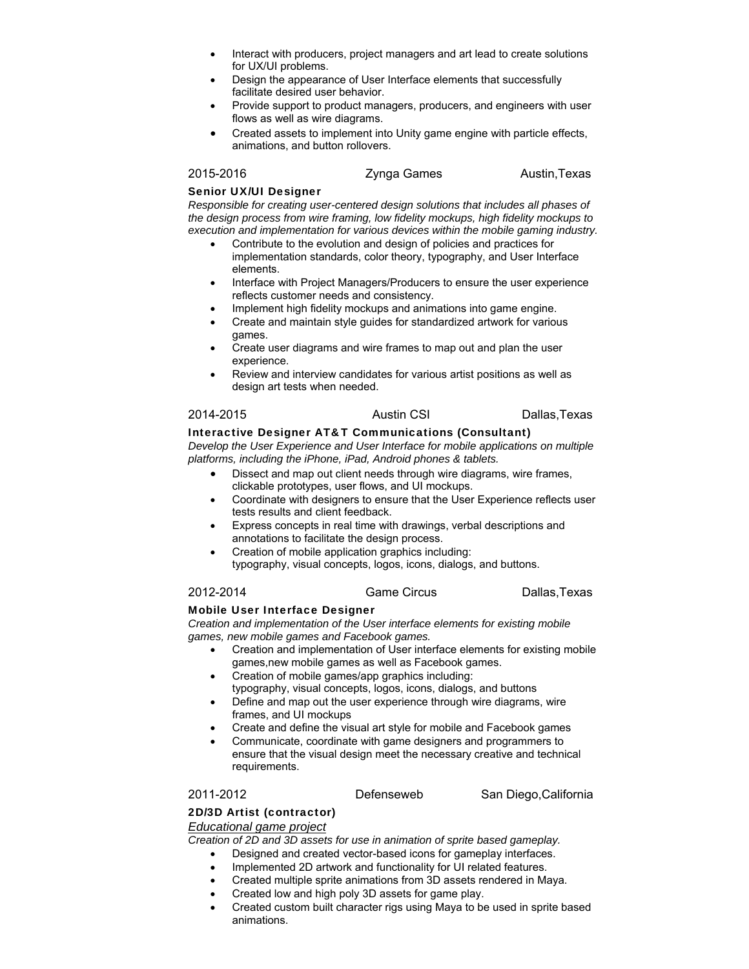- Interact with producers, project managers and art lead to create solutions for UX/UI problems.
- Design the appearance of User Interface elements that successfully facilitate desired user behavior.
- Provide support to product managers, producers, and engineers with user flows as well as wire diagrams.
- Created assets to implement into Unity game engine with particle effects, animations, and button rollovers.

2015-2016 **Zynga Games** Austin, Texas

### Senior UX/UI Designer

*Responsible for creating user-centered design solutions that includes all phases of the design process from wire framing, low fidelity mockups, high fidelity mockups to execution and implementation for various devices within the mobile gaming industry.* 

- Contribute to the evolution and design of policies and practices for implementation standards, color theory, typography, and User Interface elements.
- Interface with Project Managers/Producers to ensure the user experience reflects customer needs and consistency.
- Implement high fidelity mockups and animations into game engine.
- Create and maintain style guides for standardized artwork for various games.
- Create user diagrams and wire frames to map out and plan the user experience.
- Review and interview candidates for various artist positions as well as design art tests when needed.

# 2014-2015 Austin CSI Dallas,Texas

### Interactive Designer AT&T Communications (Consultant)

*Develop the User Experience and User Interface for mobile applications on multiple platforms, including the iPhone, iPad, Android phones & tablets.* 

- Dissect and map out client needs through wire diagrams, wire frames, clickable prototypes, user flows, and UI mockups.
- Coordinate with designers to ensure that the User Experience reflects user tests results and client feedback.
- Express concepts in real time with drawings, verbal descriptions and annotations to facilitate the design process.
	- Creation of mobile application graphics including: typography, visual concepts, logos, icons, dialogs, and buttons.

## 2012-2014 Game Circus Dallas,Texas

### Mobile User Interface Designer

*Creation and implementation of the User interface elements for existing mobile games, new mobile games and Facebook games.* 

- Creation and implementation of User interface elements for existing mobile games,new mobile games as well as Facebook games.
- Creation of mobile games/app graphics including:
- typography, visual concepts, logos, icons, dialogs, and buttons
- Define and map out the user experience through wire diagrams, wire frames, and UI mockups
- Create and define the visual art style for mobile and Facebook games
- Communicate, coordinate with game designers and programmers to ensure that the visual design meet the necessary creative and technical requirements.

2011-2012 Defenseweb San Diego,California

### 2D/3D Artist (contractor) *Educational game project*

*Creation of 2D and 3D assets for use in animation of sprite based gameplay.* 

- Designed and created vector-based icons for gameplay interfaces.
- Implemented 2D artwork and functionality for UI related features.
- Created multiple sprite animations from 3D assets rendered in Maya.
- Created low and high poly 3D assets for game play.
- Created custom built character rigs using Maya to be used in sprite based animations.